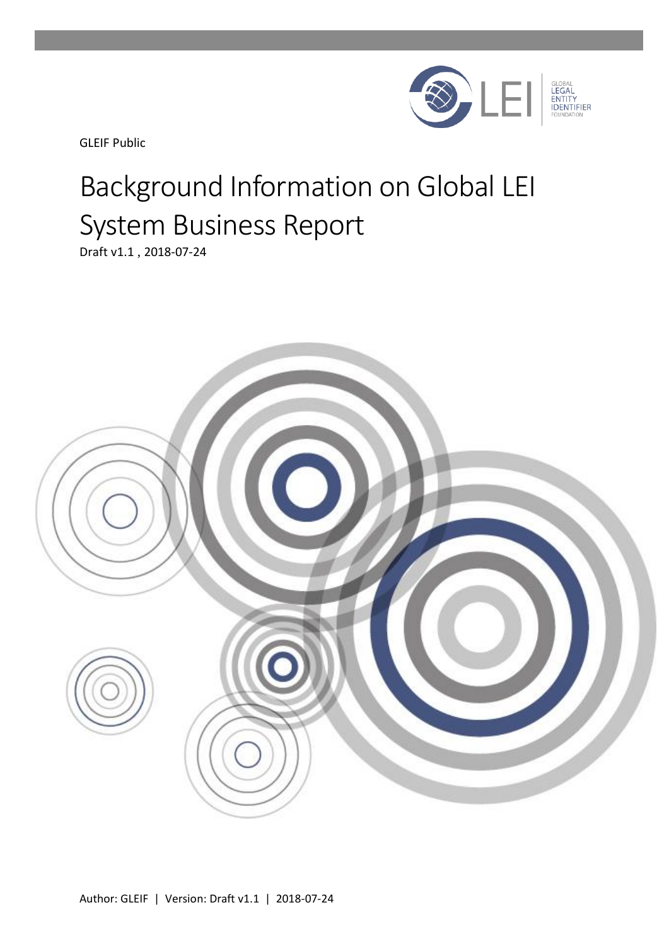

GLEIF Public

# Background Information on Global LEI System Business Report

Draft v1.1 , 2018-07-24

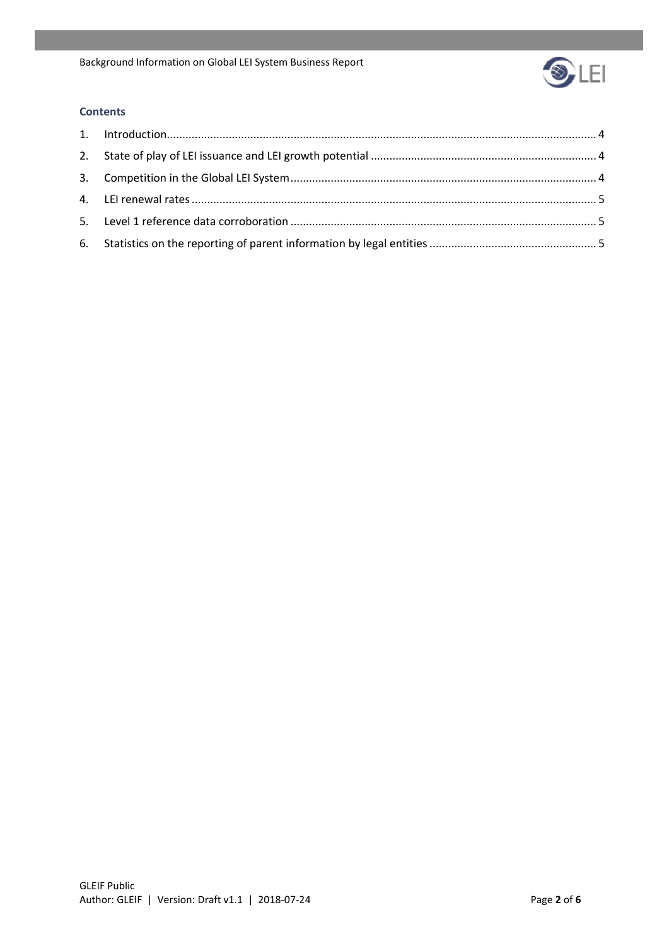

#### **Contents**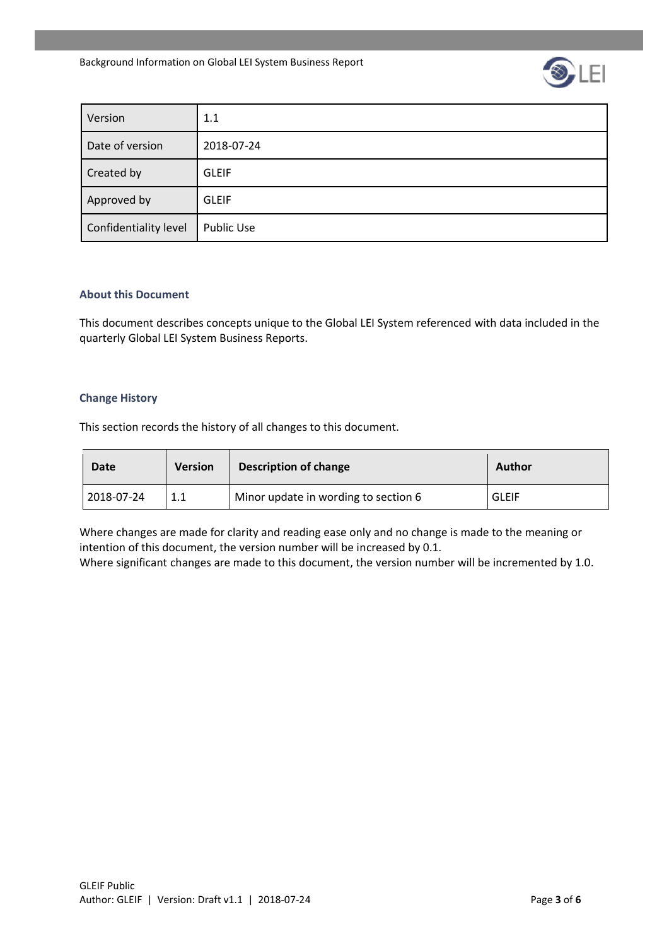

| Version               | 1.1               |
|-----------------------|-------------------|
| Date of version       | 2018-07-24        |
| Created by            | <b>GLEIF</b>      |
| Approved by           | <b>GLEIF</b>      |
| Confidentiality level | <b>Public Use</b> |

#### **About this Document**

This document describes concepts unique to the Global LEI System referenced with data included in the quarterly Global LEI System Business Reports.

#### **Change History**

This section records the history of all changes to this document.

| Date       | <b>Version</b> | Description of change                | Author       |
|------------|----------------|--------------------------------------|--------------|
| 2018-07-24 | ┸╸┸            | Minor update in wording to section 6 | <b>GLEIF</b> |

Where changes are made for clarity and reading ease only and no change is made to the meaning or intention of this document, the version number will be increased by 0.1.

Where significant changes are made to this document, the version number will be incremented by 1.0.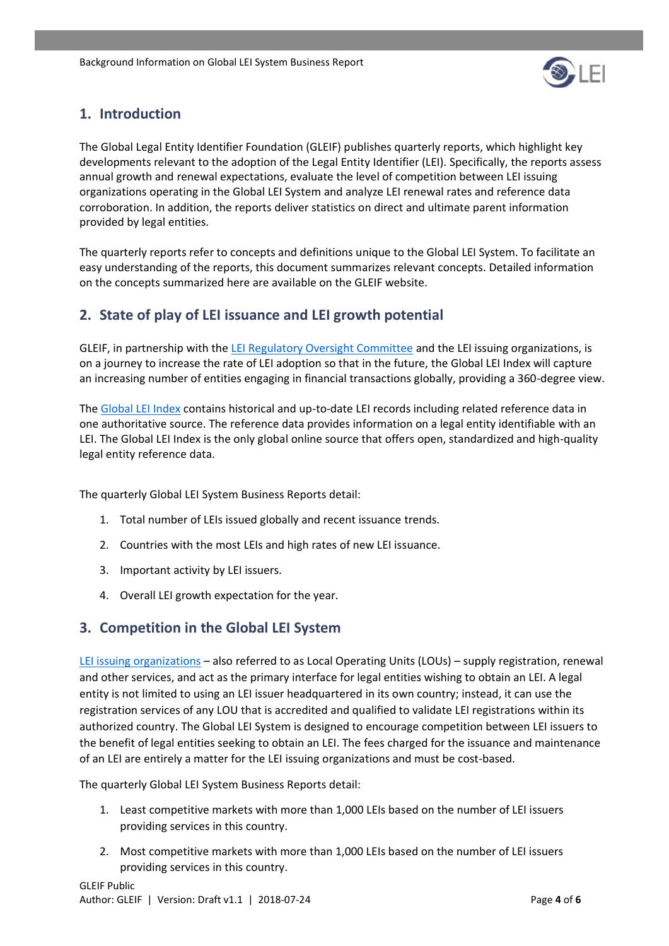

## <span id="page-3-0"></span>**1. Introduction**

The Global Legal Entity Identifier Foundation (GLEIF) publishes quarterly reports, which highlight key developments relevant to the adoption of the Legal Entity Identifier (LEI). Specifically, the reports assess annual growth and renewal expectations, evaluate the level of competition between LEI issuing organizations operating in the Global LEI System and analyze LEI renewal rates and reference data corroboration. In addition, the reports deliver statistics on direct and ultimate parent information provided by legal entities.

The quarterly reports refer to concepts and definitions unique to the Global LEI System. To facilitate an easy understanding of the reports, this document summarizes relevant concepts. Detailed information on the concepts summarized here are available on the GLEIF website.

# <span id="page-3-1"></span>**2. State of play of LEI issuance and LEI growth potential**

GLEIF, in partnership with the [LEI Regulatory Oversight Committee](https://www.gleif.org/en/about/governance/lei-regulatory-oversight-committee-lei-roc) and the LEI issuing organizations, is on a journey to increase the rate of LEI adoption so that in the future, the Global LEI Index will capture an increasing number of entities engaging in financial transactions globally, providing a 360-degree view.

The [Global LEI Index](https://www.gleif.org/en/lei-data/global-lei-index) contains historical and up-to-date LEI records including related reference data in one authoritative source. The reference data provides information on a legal entity identifiable with an LEI. The Global LEI Index is the only global online source that offers open, standardized and high-quality legal entity reference data.

The quarterly Global LEI System Business Reports detail:

- 1. Total number of LEIs issued globally and recent issuance trends.
- 2. Countries with the most LEIs and high rates of new LEI issuance.
- 3. Important activity by LEI issuers.
- 4. Overall LEI growth expectation for the year.

## <span id="page-3-2"></span>**3. Competition in the Global LEI System**

[LEI issuing organizations](https://www.gleif.org/en/about-lei/how-to-get-an-lei-find-lei-issuing-organizations) – also referred to as Local Operating Units (LOUs) – supply registration, renewal and other services, and act as the primary interface for legal entities wishing to obtain an LEI. A legal entity is not limited to using an LEI issuer headquartered in its own country; instead, it can use the registration services of any LOU that is accredited and qualified to validate LEI registrations within its authorized country. The Global LEI System is designed to encourage competition between LEI issuers to the benefit of legal entities seeking to obtain an LEI. The fees charged for the issuance and maintenance of an LEI are entirely a matter for the LEI issuing organizations and must be cost-based.

The quarterly Global LEI System Business Reports detail:

- 1. Least competitive markets with more than 1,000 LEIs based on the number of LEI issuers providing services in this country.
- 2. Most competitive markets with more than 1,000 LEIs based on the number of LEI issuers providing services in this country.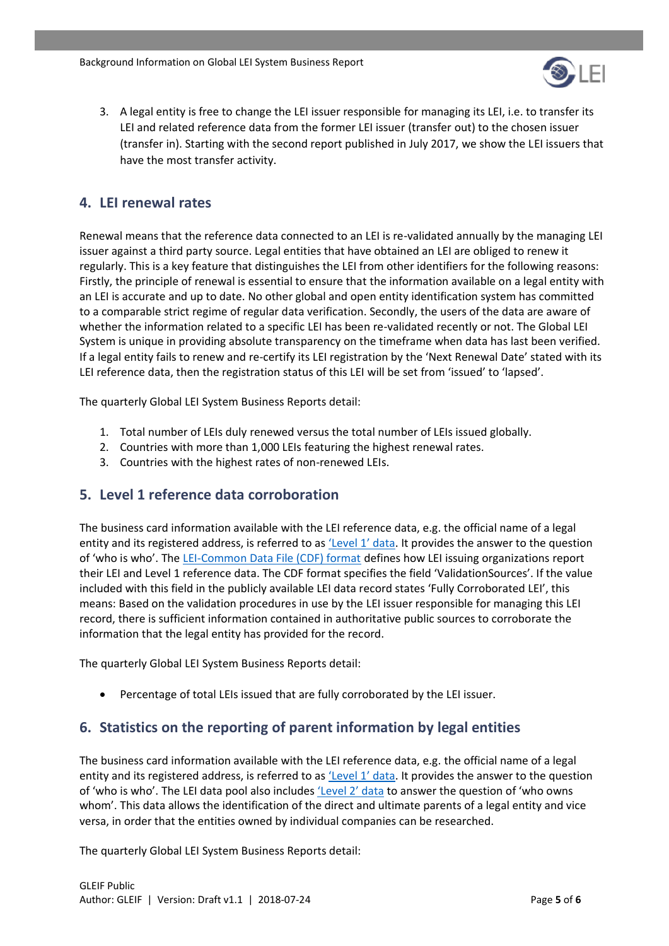

3. A legal entity is free to change the LEI issuer responsible for managing its LEI, i.e. to transfer its LEI and related reference data from the former LEI issuer (transfer out) to the chosen issuer (transfer in). Starting with the second report published in July 2017, we show the LEI issuers that have the most transfer activity.

### <span id="page-4-0"></span>**4. LEI renewal rates**

Renewal means that the reference data connected to an LEI is re-validated annually by the managing LEI issuer against a third party source. Legal entities that have obtained an LEI are obliged to renew it regularly. This is a key feature that distinguishes the LEI from other identifiers for the following reasons: Firstly, the principle of renewal is essential to ensure that the information available on a legal entity with an LEI is accurate and up to date. No other global and open entity identification system has committed to a comparable strict regime of regular data verification. Secondly, the users of the data are aware of whether the information related to a specific LEI has been re-validated recently or not. The Global LEI System is unique in providing absolute transparency on the timeframe when data has last been verified. If a legal entity fails to renew and re-certify its LEI registration by the 'Next Renewal Date' stated with its LEI reference data, then the registration status of this LEI will be set from 'issued' to 'lapsed'.

The quarterly Global LEI System Business Reports detail:

- 1. Total number of LEIs duly renewed versus the total number of LEIs issued globally.
- 2. Countries with more than 1,000 LEIs featuring the highest renewal rates.
- 3. Countries with the highest rates of non-renewed LEIs.

#### <span id="page-4-1"></span>**5. Level 1 reference data corroboration**

The business card information available with the LEI reference data, e.g. the official name of a legal entity and its registered address, is referred to as ['Level 1' data](https://www.gleif.org/en/lei-data/access-and-use-lei-data/level-1-data-who-is-who). It provides the answer to the question of 'who is who'. The [LEI-Common Data File \(CDF\) format](https://www.gleif.org/en/about-lei/common-data-file-format/lei-cdf-format) defines how LEI issuing organizations report their LEI and Level 1 reference data. The CDF format specifies the field 'ValidationSources'. If the value included with this field in the publicly available LEI data record states 'Fully Corroborated LEI', this means: Based on the validation procedures in use by the LEI issuer responsible for managing this LEI record, there is sufficient information contained in authoritative public sources to corroborate the information that the legal entity has provided for the record.

The quarterly Global LEI System Business Reports detail:

• Percentage of total LEIs issued that are fully corroborated by the LEI issuer.

## <span id="page-4-2"></span>**6. Statistics on the reporting of parent information by legal entities**

The business card information available with the LEI reference data, e.g. the official name of a legal entity and its registered address, is referred to as ['Level 1' data](https://www.gleif.org/en/lei-data/access-and-use-lei-data/level-1-data-who-is-who). It provides the answer to the question of 'who is who'. The LEI data pool also includes ['Level 2' data](https://www.gleif.org/en/lei-data/access-and-use-lei-data/level-2-data-who-owns-whom) to answer the question of 'who owns whom'. This data allows the identification of the direct and ultimate parents of a legal entity and vice versa, in order that the entities owned by individual companies can be researched.

The quarterly Global LEI System Business Reports detail: